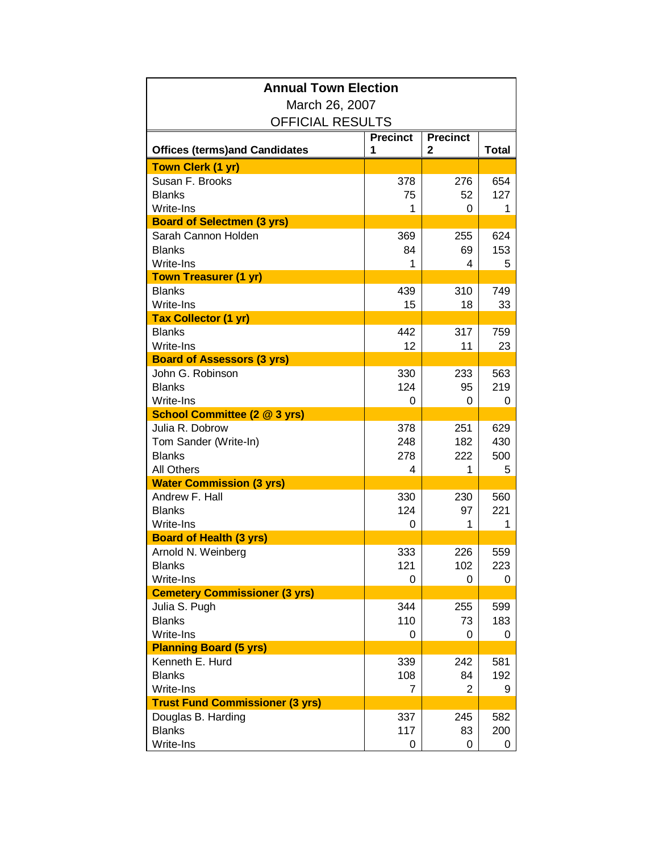| <b>Annual Town Election</b>            |                 |                 |              |  |
|----------------------------------------|-----------------|-----------------|--------------|--|
| March 26, 2007                         |                 |                 |              |  |
| <b>OFFICIAL RESULTS</b>                |                 |                 |              |  |
|                                        | <b>Precinct</b> | <b>Precinct</b> |              |  |
| <b>Offices (terms)and Candidates</b>   | 1               | 2               | <b>Total</b> |  |
| <b>Town Clerk (1 yr)</b>               |                 |                 |              |  |
| Susan F. Brooks                        | 378             | 276             | 654          |  |
| <b>Blanks</b>                          | 75              | 52              | 127          |  |
| Write-Ins                              | 1               | 0               | 1            |  |
| <b>Board of Selectmen (3 yrs)</b>      |                 |                 |              |  |
| Sarah Cannon Holden<br><b>Blanks</b>   | 369             | 255             | 624          |  |
| Write-Ins                              | 84<br>1         | 69<br>4         | 153<br>5     |  |
| <b>Town Treasurer (1 yr)</b>           |                 |                 |              |  |
| <b>Blanks</b>                          | 439             | 310             | 749          |  |
| Write-Ins                              | 15              | 18              | 33           |  |
| <b>Tax Collector (1 yr)</b>            |                 |                 |              |  |
| <b>Blanks</b>                          | 442             | 317             | 759          |  |
| Write-Ins                              | 12              | 11              | 23           |  |
| <b>Board of Assessors (3 yrs)</b>      |                 |                 |              |  |
| John G. Robinson                       | 330             | 233             | 563          |  |
| <b>Blanks</b>                          | 124             | 95              | 219          |  |
| Write-Ins                              | 0               | 0               | 0            |  |
| <b>School Committee (2 @ 3 yrs)</b>    |                 |                 |              |  |
| Julia R. Dobrow                        | 378             | 251             | 629          |  |
| Tom Sander (Write-In)                  | 248             | 182             | 430          |  |
| <b>Blanks</b>                          | 278             | 222             | 500          |  |
| <b>All Others</b>                      | 4               | 1               | 5            |  |
| <b>Water Commission (3 yrs)</b>        |                 |                 |              |  |
| Andrew F. Hall<br><b>Blanks</b>        | 330<br>124      | 230             | 560          |  |
| Write-Ins                              | 0               | 97<br>1         | 221<br>1     |  |
| <b>Board of Health (3 yrs)</b>         |                 |                 |              |  |
| Arnold N. Weinberg                     | 333             | 226             | 559          |  |
| <b>Blanks</b>                          | 121             | 102             | 223          |  |
| Write-Ins                              | 0               | 0               | 0            |  |
| <b>Cemetery Commissioner (3 yrs)</b>   |                 |                 |              |  |
| Julia S. Pugh                          | 344             | 255             | 599          |  |
| <b>Blanks</b>                          | 110             | 73              | 183          |  |
| Write-Ins                              | 0               | 0               | 0            |  |
| <b>Planning Board (5 yrs)</b>          |                 |                 |              |  |
| Kenneth E. Hurd                        | 339             | 242             | 581          |  |
| <b>Blanks</b>                          | 108             | 84              | 192          |  |
| Write-Ins                              | $\overline{7}$  | 2               | 9            |  |
| <b>Trust Fund Commissioner (3 yrs)</b> |                 |                 |              |  |
| Douglas B. Harding                     | 337             | 245             | 582          |  |
| <b>Blanks</b>                          | 117             | 83              | 200          |  |
| Write-Ins                              | 0               | 0               | 0            |  |